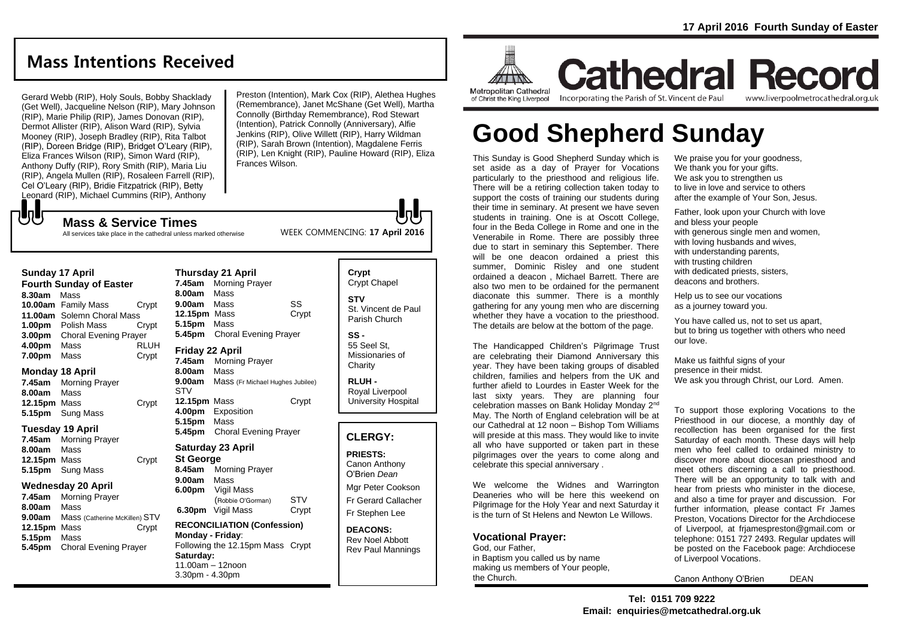# **Mass Intentions Received**

Gerard Webb (RIP), Holy Souls, Bobby Shacklady (Get Well), Jacqueline Nelson (RIP), Mary Johnson (RIP), Marie Philip (RIP), James Donovan (RIP), Dermot Allister (RIP), Alison Ward (RIP), Sylvia Mooney (RIP), Joseph Bradley (RIP), Rita Talbot (RIP), Doreen Bridge (RIP), Bridget O'Leary (RIP), Eliza Frances Wilson (RIP), Simon Ward (RIP), Anthony Duffy (RIP), Rory Smith (RIP), Maria Liu (RIP), Angela Mullen (RIP), Rosaleen Farrell (RIP), Cel O'Leary (RIP), Bridie Fitzpatrick (RIP), Betty Leonard (RIP), Michael Cummins (RIP), Anthony

**Mass & Service Times**

Preston (Intention), Mark Cox (RIP), Alethea Hughes (Remembrance), Janet McShane (Get Well), Martha Connolly (Birthday Remembrance), Rod Stewart (Intention), Patrick Connolly (Anniversary), Alfie Jenkins (RIP), Olive Willett (RIP), Harry Wildman (RIP), Sarah Brown (Intention), Magdalene Ferris (RIP), Len Knight (RIP), Pauline Howard (RIP), Eliza Frances Wilson.

WEEK COMMENCING: **17 April 2016**

All services take place in the cathedral unless marked otherwise

#### **Sunday 17 April**

もし

**Fourth Sunday of Easter 8.30am** Mass **10.00am** Family Mass Crypt **11.00am** Solemn Choral Mass **1.00pm** Polish Mass Crypt **3.00pm** Choral Evening Prayer **4.00pm** Mass RLUH **7.00pm** Mass Crypt

### **Monday 18 April**

**7.45am** Morning Prayer **8.00am** Mass **12.15pm** Mass Crypt **5.15pm** Sung Mass

### **Tuesday 19 April**

**7.45am** Morning Prayer **8.00am** Mass **12.15pm** Mass Crypt **5.15pm** Sung Mass

### **Wednesday 20 April**

**7.45am** Morning Prayer **8.00am** Mass **9.00am** Mass (Catherine McKillen) STV **12.15pm** Mass Crypt **5.15pm** Mass **5.45pm** Choral Evening Prayer

| 7.45am                                               | <b>Morning Prayer</b>                                      |       |
|------------------------------------------------------|------------------------------------------------------------|-------|
| 8.00am                                               | Mass                                                       |       |
| 9.00am                                               | Mass                                                       | SS    |
| <b>12.15pm</b> Mass                                  |                                                            | Crypt |
| 5.15pm                                               | Mass                                                       |       |
| 5.45pm                                               | <b>Choral Evening Prayer</b>                               |       |
| Friday 22 April<br>7.45am<br>8.00am<br>9.00am<br>STV | Morning Prayer<br>Mass<br>Mass (Fr Michael Hughes Jubilee) |       |
| 12.15pm<br>4.00pm<br>5.15pm<br>5.45pm                | Mass<br>Exposition<br>Mass<br><b>Choral Evening Prayer</b> | Crypt |

### **Saturday 23 April**

**Thursday 21 April**

**St George 8.45am** Morning Prayer **9.00am** Mass **6.00pm** Vigil Mass (Robbie O'Gorman) STV **6.30pm** Vigil Mass Crypt

#### **RECONCILIATION (Confession) Monday - Friday**: Following the 12.15pm Mass Crypt **Saturday:** 11.00am – 12noon 3.30pm - 4.30pm

**Crypt**  Crypt Chapel **STV** St. Vincent de Paul Parish Church

**SS -** 55 Seel St, Missionaries of **Charity** 

**RLUH -** Royal Liverpool University Hospital

## **CLERGY:**

**PRIESTS:** Canon Anthony O'Brien *Dean*

Mgr Peter Cookson Fr Gerard Callacher Fr Stephen Lee

**DEACONS:** Rev Noel Abbott Rev Paul Mannings



**Metropolitan Cathedral** of Christ the King Liverpool

Incorporating the Parish of St. Vincent de Paul

www.liverpoolmetrocathedral.org.uk

**Cathedral Record** 

# **Good Shepherd Sunday**

This Sunday is Good Shepherd Sunday which is set aside as a day of Prayer for Vocations particularly to the priesthood and religious life. There will be a retiring collection taken today to support the costs of training our students during their time in seminary. At present we have seven students in training. One is at Oscott College, four in the Beda College in Rome and one in the Venerabile in Rome. There are possibly three due to start in seminary this September. There will be one deacon ordained a priest this summer, Dominic Risley and one student ordained a deacon , Michael Barrett. There are also two men to be ordained for the permanent diaconate this summer. There is a monthly gathering for any young men who are discerning whether they have a vocation to the priesthood. The details are below at the bottom of the page.

The Handicapped Children's Pilgrimage Trust are celebrating their Diamond Anniversary this year. They have been taking groups of disabled children, families and helpers from the UK and further afield to Lourdes in Easter Week for the last sixty years. They are planning four celebration masses on Bank Holiday Monday 2nd May. The North of England celebration will be at our Cathedral at 12 noon – Bishop Tom Williams will preside at this mass. They would like to invite all who have supported or taken part in these pilgrimages over the years to come along and celebrate this special anniversary .

We welcome the Widnes and Warrington Deaneries who will be here this weekend on Pilgrimage for the Holy Year and next Saturday it is the turn of St Helens and Newton Le Willows.

## **Vocational Prayer:**

God, our Father, in Baptism you called us by name making us members of Your people, the Church.

We praise you for your goodness. We thank you for your gifts. We ask you to strengthen us to live in love and service to others after the example of Your Son, Jesus.

Father, look upon your Church with love and bless your people with generous single men and women, with loving husbands and wives. with understanding parents. with trusting children with dedicated priests, sisters, deacons and brothers.

Help us to see our vocations as a journey toward you.

You have called us, not to set us apart, but to bring us together with others who need our love.

Make us faithful signs of your presence in their midst. We ask you through Christ, our Lord. Amen.

To support those exploring Vocations to the Priesthood in our diocese, a monthly day of recollection has been organised for the first Saturday of each month. These days will help men who feel called to ordained ministry to discover more about diocesan priesthood and meet others discerning a call to priesthood. There will be an opportunity to talk with and hear from priests who minister in the diocese, and also a time for prayer and discussion. For further information, please contact Fr James Preston, Vocations Director for the Archdiocese of Liverpool, at frjamespreston@gmail.com or telephone: 0151 727 2493. Regular updates will be posted on the Facebook page: Archdiocese of Liverpool Vocations.

Canon Anthony O'Brien DEAN